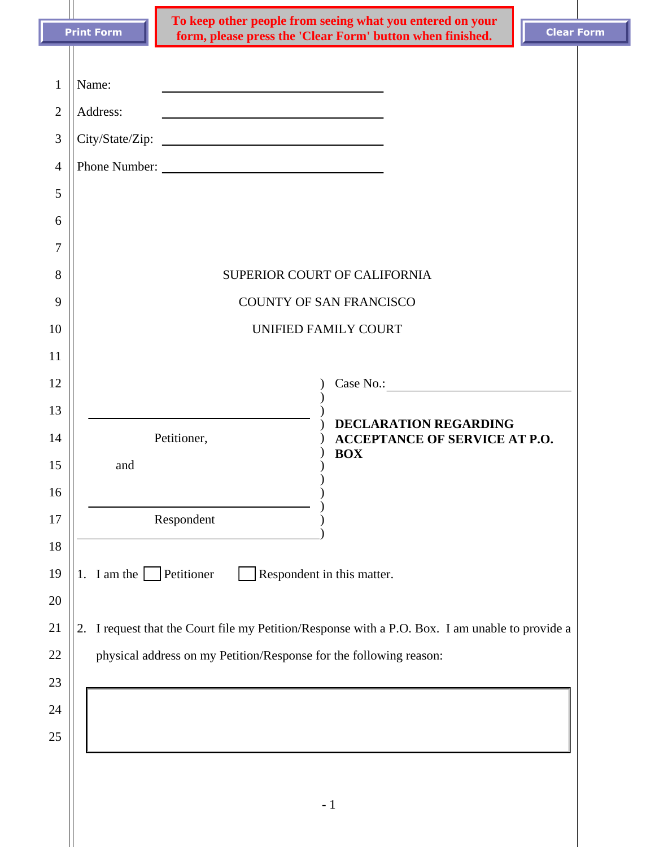|                                                                           |                                                                                                 | To keep other people from seeing what you entered on your                                                                                                                                                                                                                                                                                                     |                              |                                      |                   |  |
|---------------------------------------------------------------------------|-------------------------------------------------------------------------------------------------|---------------------------------------------------------------------------------------------------------------------------------------------------------------------------------------------------------------------------------------------------------------------------------------------------------------------------------------------------------------|------------------------------|--------------------------------------|-------------------|--|
|                                                                           | <b>Print Form</b>                                                                               | form, please press the 'Clear Form' button when finished.                                                                                                                                                                                                                                                                                                     |                              |                                      | <b>Clear Form</b> |  |
| $\mathbf{1}$<br>$\overline{2}$<br>3<br>$\overline{4}$<br>5<br>6<br>7<br>8 | Name:<br>Address:<br>Phone Number:                                                              | <u> 1989 - Johann Barbara, martin amerikan basar dan berasal dan berasal dalam basar dalam basar dalam basar dala</u><br><u>and the state of the state of the state of the state of the state of the state of the state of the state of the state of the state of the state of the state of the state of the state of the state of the state of the state</u> | SUPERIOR COURT OF CALIFORNIA |                                      |                   |  |
| 9                                                                         | <b>COUNTY OF SAN FRANCISCO</b>                                                                  |                                                                                                                                                                                                                                                                                                                                                               |                              |                                      |                   |  |
| 10                                                                        | UNIFIED FAMILY COURT                                                                            |                                                                                                                                                                                                                                                                                                                                                               |                              |                                      |                   |  |
| 11                                                                        |                                                                                                 |                                                                                                                                                                                                                                                                                                                                                               |                              |                                      |                   |  |
| 12                                                                        |                                                                                                 |                                                                                                                                                                                                                                                                                                                                                               |                              | Case No.: 1988 Case No.: 1988        |                   |  |
| 13                                                                        |                                                                                                 |                                                                                                                                                                                                                                                                                                                                                               |                              | <b>DECLARATION REGARDING</b>         |                   |  |
| 14<br>15                                                                  | Petitioner,<br>and                                                                              |                                                                                                                                                                                                                                                                                                                                                               | <b>BOX</b>                   | <b>ACCEPTANCE OF SERVICE AT P.O.</b> |                   |  |
| 16                                                                        |                                                                                                 |                                                                                                                                                                                                                                                                                                                                                               |                              |                                      |                   |  |
| 17                                                                        | Respondent                                                                                      |                                                                                                                                                                                                                                                                                                                                                               |                              |                                      |                   |  |
| 18                                                                        |                                                                                                 |                                                                                                                                                                                                                                                                                                                                                               |                              |                                      |                   |  |
| 19                                                                        | 1. I am the Petitioner                                                                          |                                                                                                                                                                                                                                                                                                                                                               | Respondent in this matter.   |                                      |                   |  |
| 20                                                                        |                                                                                                 |                                                                                                                                                                                                                                                                                                                                                               |                              |                                      |                   |  |
| 21                                                                        | 2. I request that the Court file my Petition/Response with a P.O. Box. I am unable to provide a |                                                                                                                                                                                                                                                                                                                                                               |                              |                                      |                   |  |
| 22                                                                        | physical address on my Petition/Response for the following reason:                              |                                                                                                                                                                                                                                                                                                                                                               |                              |                                      |                   |  |
| 23                                                                        |                                                                                                 |                                                                                                                                                                                                                                                                                                                                                               |                              |                                      |                   |  |
| 24                                                                        |                                                                                                 |                                                                                                                                                                                                                                                                                                                                                               |                              |                                      |                   |  |
| 25                                                                        |                                                                                                 |                                                                                                                                                                                                                                                                                                                                                               |                              |                                      |                   |  |
|                                                                           |                                                                                                 |                                                                                                                                                                                                                                                                                                                                                               |                              |                                      |                   |  |